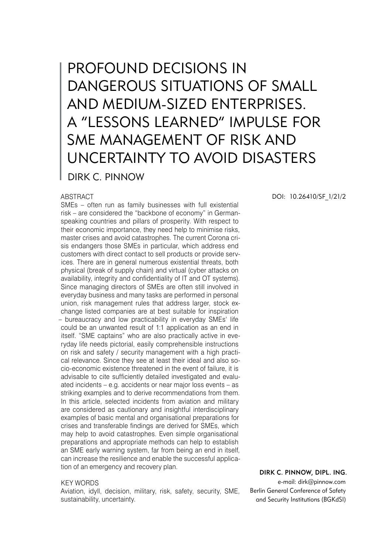# PROFOUND DECISIONS IN DANGEROUS SITUATIONS OF SMALL AND MEDIUM-SIZED ENTERPRISES. A "LESSONS LEARNED" IMPULSE FOR SME MANAGEMENT OF RISK AND UNCERTAINTY TO AVOID DISASTERS

DIRK C. PINNOW

#### **ABSTRACT**

SMEs – often run as family businesses with full existential risk – are considered the "backbone of economy" in Germanspeaking countries and pillars of prosperity. With respect to their economic importance, they need help to minimise risks, master crises and avoid catastrophes. The current Corona crisis endangers those SMEs in particular, which address end customers with direct contact to sell products or provide services. There are in general numerous existential threats, both physical (break of supply chain) and virtual (cyber attacks on availability, integrity and confidentiality of IT and OT systems). Since managing directors of SMEs are often still involved in everyday business and many tasks are performed in personal union, risk management rules that address larger, stock exchange listed companies are at best suitable for inspiration – bureaucracy and low practicability in everyday SMEs' life could be an unwanted result of 1:1 application as an end in itself. "SME captains" who are also practically active in everyday life needs pictorial, easily comprehensible instructions on risk and safety / security management with a high practical relevance. Since they see at least their ideal and also socio-economic existence threatened in the event of failure, it is advisable to cite sufficiently detailed investigated and evaluated incidents – e.g. accidents or near major loss events – as striking examples and to derive recommendations from them. In this article, selected incidents from aviation and military are considered as cautionary and insightful interdisciplinary examples of basic mental and organisational preparations for crises and transferable findings are derived for SMEs, which may help to avoid catastrophes. Even simple organisational preparations and appropriate methods can help to establish an SME early warning system, far from being an end in itself, can increase the resilience and enable the successful application of an emergency and recovery plan.

#### KEY WORDS

Aviation, idyll, decision, military, risk, safety, security, SME, sustainability, uncertainty.

DOI: 10.26410/SF\_1/21/2

#### Dirk C. Pinnow, Dipl. Ing.

e-mail: dirk@pinnow.com Berlin General Conference of Safety and Security Institutions (BGKdSI)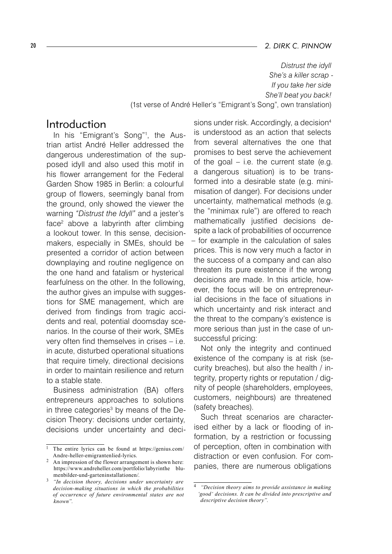#### 20 *2. DIRK C. PINNOW*

*Distrust the idyll She's a killer scrap - If you take her side She'll beat you back!* (1st verse of André Heller's "Emigrant's Song", own translation)

# Introduction

In his "Emigrant's Song"<sup>1</sup>, the Austrian artist André Heller addressed the dangerous underestimation of the supposed idyll and also used this motif in his flower arrangement for the Federal Garden Show 1985 in Berlin: a colourful group of flowers, seemingly banal from the ground, only showed the viewer the warning *"Distrust the Idyll"* and a jester's face above a labyrinth after climbing a lookout tower. In this sense, decisionmakers, especially in SMEs, should be presented a corridor of action between downplaying and routine negligence on the one hand and fatalism or hysterical fearfulness on the other. In the following, the author gives an impulse with suggestions for SME management, which are derived from findings from tragic accidents and real, potential doomsday scenarios. In the course of their work, SMEs very often find themselves in crises – i.e. in acute, disturbed operational situations that require timely, directional decisions in order to maintain resilience and return to a stable state.

Business administration (BA) offers entrepreneurs approaches to solutions in three categories<sup>3</sup> by means of the Decision Theory: decisions under certainty, decisions under uncertainty and decisions under risk. Accordingly, a decision is understood as an action that selects from several alternatives the one that promises to best serve the achievement of the goal – i.e. the current state (e.g. a dangerous situation) is to be transformed into a desirable state (e.g. minimisation of danger). For decisions under uncertainty, mathematical methods (e.g. the "minimax rule") are offered to reach mathematically justified decisions despite a lack of probabilities of occurrence – for example in the calculation of sales prices. This is now very much a factor in the success of a company and can also threaten its pure existence if the wrong decisions are made. In this article, however, the focus will be on entrepreneurial decisions in the face of situations in which uncertainty and risk interact and the threat to the company's existence is more serious than just in the case of unsuccessful pricing:

Not only the integrity and continued existence of the company is at risk (security breaches), but also the health / integrity, property rights or reputation / dignity of people (shareholders, employees, customers, neighbours) are threatened (safety breaches).

Such threat scenarios are characterised either by a lack or flooding of information, by a restriction or focussing of perception, often in combination with distraction or even confusion. For companies, there are numerous obligations

<sup>&</sup>lt;sup>1</sup> The entire lyrics can be found at https://genius.com/ Andre-heller-emigrantenlied-lyrics.

An impression of the flower arrangement is shown here: https://www.andreheller.com/portfolio/labyrinthe blumenbilder-und-garteninstallationen/.

*"In decision theory, decisions under uncertainty are decision-making situations in which the probabilities of occurrence of future environmental states are not known".*

*"Decision theory aims to provide assistance in making 'good' decisions. It can be divided into prescriptive and descriptive decision theory".*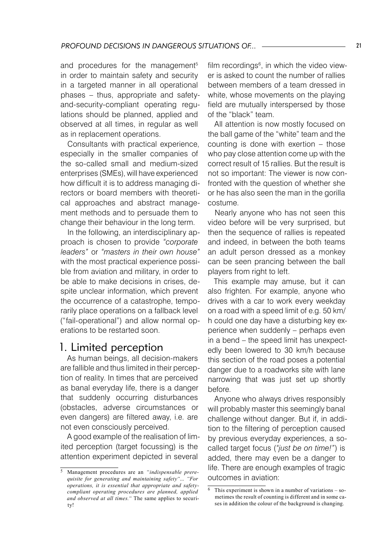and procedures for the management<sup>5</sup> in order to maintain safety and security in a targeted manner in all operational phases – thus, appropriate and safetyand-security-compliant operating regulations should be planned, applied and observed at all times, in regular as well as in replacement operations.

Consultants with practical experience, especially in the smaller companies of the so-called small and medium-sized enterprises (SMEs), will have experienced how difficult it is to address managing directors or board members with theoretical approaches and abstract management methods and to persuade them to change their behaviour in the long term.

In the following, an interdisciplinary approach is chosen to provide *"corporate leaders"* or *"masters in their own house"* with the most practical experience possible from aviation and military, in order to be able to make decisions in crises, despite unclear information, which prevent the occurrence of a catastrophe, temporarily place operations on a fallback level ("fail-operational") and allow normal operations to be restarted soon.

## 1. Limited perception

As human beings, all decision-makers are fallible and thus limited in their perception of reality. In times that are perceived as banal everyday life, there is a danger that suddenly occurring disturbances (obstacles, adverse circumstances or even dangers) are filtered away, i.e. are not even consciously perceived.

A good example of the realisation of limited perception (target focussing) is the attention experiment depicted in several

film recordings<sup>6</sup>, in which the video viewer is asked to count the number of rallies between members of a team dressed in white, whose movements on the playing field are mutually interspersed by those of the "black" team.

All attention is now mostly focused on the ball game of the "white" team and the counting is done with exertion – those who pay close attention come up with the correct result of 15 rallies. But the result is not so important: The viewer is now confronted with the question of whether she or he has also seen the man in the gorilla costume.

Nearly anyone who has not seen this video before will be very surprised, but then the sequence of rallies is repeated and indeed, in between the both teams an adult person dressed as a monkey can be seen prancing between the ball players from right to left.

This example may amuse, but it can also frighten. For example, anyone who drives with a car to work every weekday on a road with a speed limit of e.g. 50 km/ h could one day have a disturbing key experience when suddenly – perhaps even in a bend – the speed limit has unexpectedly been lowered to 30 km/h because this section of the road poses a potential danger due to a roadworks site with lane narrowing that was just set up shortly before.

Anyone who always drives responsibly will probably master this seemingly banal challenge without danger. But if, in addition to the filtering of perception caused by previous everyday experiences, a socalled target focus (*"just be on time!"*) is added, there may even be a danger to life. There are enough examples of tragic outcomes in aviation:

Management procedures are an *"indispensable prerequisite for generating and maintaining safety"*... *"For operations, it is essential that appropriate and safetycompliant operating procedures are planned, applied and observed at all times."* The same applies to security!

This experiment is shown in a number of variations – sometimes the result of counting is different and in some cases in addition the colour of the background is changing.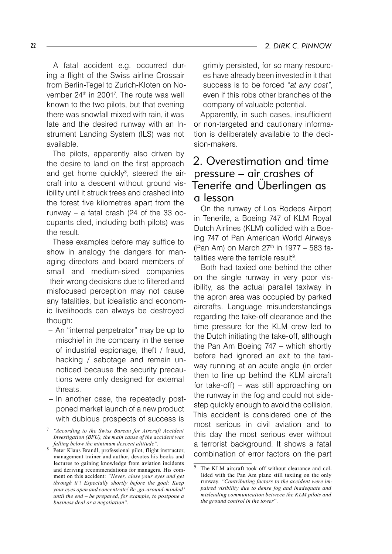A fatal accident e.g. occurred during a flight of the Swiss airline Crossair from Berlin-Tegel to Zurich-Kloten on November 24<sup>th</sup> in 2001<sup>7</sup>. The route was well known to the two pilots, but that evening there was snowfall mixed with rain, it was late and the desired runway with an Instrument Landing System (ILS) was not available.

The pilots, apparently also driven by the desire to land on the first approach and get home quickly<sup>8</sup>, steered the aircraft into a descent without ground visibility until it struck trees and crashed into the forest five kilometres apart from the runway – a fatal crash (24 of the 33 occupants died, including both pilots) was the result.

These examples before may suffice to show in analogy the dangers for managing directors and board members of small and medium-sized companies – their wrong decisions due to filtered and misfocused perception may not cause any fatalities, but idealistic and economic livelihoods can always be destroyed though:

- An "internal perpetrator" may be up to mischief in the company in the sense of industrial espionage, theft / fraud, hacking / sabotage and remain unnoticed because the security precautions were only designed for external threats.
- In another case, the repeatedly postponed market launch of a new product with dubious prospects of success is

grimly persisted, for so many resources have already been invested in it that success is to be forced *"at any cost"*, even if this robs other branches of the company of valuable potential.

Apparently, in such cases, insufficient or non-targeted and cautionary information is deliberately available to the decision-makers.

# 2. Overestimation and time pressure – air crashes of Tenerife and Überlingen as a lesson

On the runway of Los Rodeos Airport in Tenerife, a Boeing 747 of KLM Royal Dutch Airlines (KLM) collided with a Boeing 747 of Pan American World Airways (Pan Am) on March  $27<sup>th</sup>$  in 1977 – 583 fatalities were the terrible result<sup>9</sup>.

Both had taxied one behind the other on the single runway in very poor visibility, as the actual parallel taxiway in the apron area was occupied by parked aircrafts. Language misunderstandings regarding the take-off clearance and the time pressure for the KLM crew led to the Dutch initiating the take-off, although the Pan Am Boeing 747 – which shortly before had ignored an exit to the taxiway running at an acute angle (in order then to line up behind the KLM aircraft for take-off) – was still approaching on the runway in the fog and could not sidestep quickly enough to avoid the collision. This accident is considered one of the most serious in civil aviation and to this day the most serious ever without a terrorist background. It shows a fatal combination of error factors on the part

*"According to the Swiss Bureau for Aircraft Accident Investigation (BFU), the main cause of the accident was falling below the minimum descent altitude".*

<sup>&</sup>lt;sup>8</sup> Peter Klaus Brandl, professional pilot, flight instructor, management trainer and author, devotes his books and lectures to gaining knowledge from aviation incidents and deriving recommendations for managers. His comment on this accident: *"Never' close your eyes and get through it'! Especially shortly before the goal: Keep your eyes open and concentrate! Be 'go-around-minded' until the end – be prepared, for example, to postpone a business deal or a negotiation".*

<sup>&</sup>lt;sup>9</sup> The KLM aircraft took off without clearance and collided with the Pan Am plane still taxiing on the only runway. *"Contributing factors to the accident were impaired visibility due to dense fog and inadequate and misleading communication between the KLM pilots and the ground control in the tower".*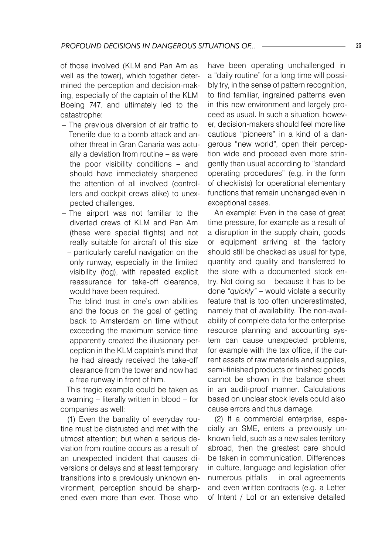of those involved (KLM and Pan Am as well as the tower), which together determined the perception and decision-making, especially of the captain of the KLM Boeing 747, and ultimately led to the catastrophe:

- The previous diversion of air traffic to Tenerife due to a bomb attack and another threat in Gran Canaria was actually a deviation from routine – as were the poor visibility conditions – and should have immediately sharpened the attention of all involved (controllers and cockpit crews alike) to unexpected challenges.
- The airport was not familiar to the diverted crews of KLM and Pan Am (these were special flights) and not really suitable for aircraft of this size – particularly careful navigation on the only runway, especially in the limited visibility (fog), with repeated explicit reassurance for take-off clearance, would have been required.
- The blind trust in one's own abilities and the focus on the goal of getting back to Amsterdam on time without exceeding the maximum service time apparently created the illusionary perception in the KLM captain's mind that he had already received the take-off clearance from the tower and now had a free runway in front of him.

This tragic example could be taken as a warning – literally written in blood – for companies as well:

(1) Even the banality of everyday routine must be distrusted and met with the utmost attention; but when a serious deviation from routine occurs as a result of an unexpected incident that causes diversions or delays and at least temporary transitions into a previously unknown environment, perception should be sharpened even more than ever. Those who

have been operating unchallenged in a "daily routine" for a long time will possibly try, in the sense of pattern recognition, to find familiar, ingrained patterns even in this new environment and largely proceed as usual. In such a situation, however, decision-makers should feel more like cautious "pioneers" in a kind of a dangerous "new world", open their perception wide and proceed even more stringently than usual according to "standard operating procedures" (e.g. in the form of checklists) for operational elementary functions that remain unchanged even in exceptional cases.

An example: Even in the case of great time pressure, for example as a result of a disruption in the supply chain, goods or equipment arriving at the factory should still be checked as usual for type, quantity and quality and transferred to the store with a documented stock entry. Not doing so – because it has to be done *"quickly"* – would violate a security feature that is too often underestimated, namely that of availability. The non-availability of complete data for the enterprise resource planning and accounting system can cause unexpected problems, for example with the tax office, if the current assets of raw materials and supplies, semi-finished products or finished goods cannot be shown in the balance sheet in an audit-proof manner. Calculations based on unclear stock levels could also cause errors and thus damage.

(2) If a commercial enterprise, especially an SME, enters a previously unknown field, such as a new sales territory abroad, then the greatest care should be taken in communication. Differences in culture, language and legislation offer numerous pitfalls – in oral agreements and even written contracts (e.g. a Letter of Intent / LoI or an extensive detailed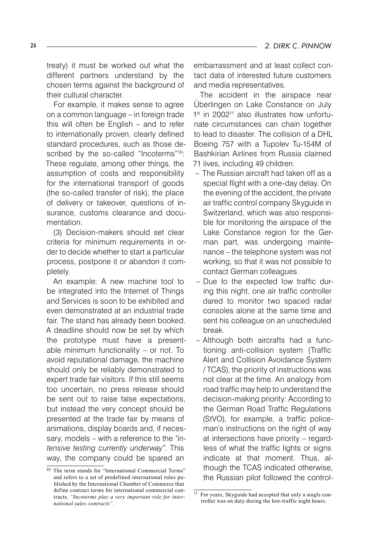treaty) it must be worked out what the different partners understand by the chosen terms against the background of their cultural character.

For example, it makes sense to agree on a common language – in foreign trade this will often be English – and to refer to internationally proven, clearly defined standard procedures, such as those described by the so-called "Incoterms"<sup>10</sup>: These regulate, among other things, the assumption of costs and responsibility for the international transport of goods (the so-called transfer of risk), the place of delivery or takeover, questions of insurance, customs clearance and documentation.

(3) Decision-makers should set clear criteria for minimum requirements in order to decide whether to start a particular process, postpone it or abandon it completely.

An example: A new machine tool to be integrated into the Internet of Things and Services is soon to be exhibited and even demonstrated at an industrial trade fair. The stand has already been booked. A deadline should now be set by which the prototype must have a presentable minimum functionality – or not. To avoid reputational damage, the machine should only be reliably demonstrated to expert trade fair visitors. If this still seems too uncertain, no press release should be sent out to raise false expectations, but instead the very concept should be presented at the trade fair by means of animations, display boards and, if necessary, models – with a reference to the *"intensive testing currently underway"*. This way, the company could be spared an

embarrassment and at least collect contact data of interested future customers and media representatives.

The accident in the airspace near Überlingen on Lake Constance on July 1<sup>st</sup> in 2002<sup>11</sup> also illustrates how unfortunate circumstances can chain together to lead to disaster. The collision of a DHL Boeing 757 with a Tupolev Tu-154M of Bashkirian Airlines from Russia claimed 71 lives, including 49 children.

- The Russian aircraft had taken off as a special flight with a one-day delay. On the evening of the accident, the private air traffic control company Skyguide in Switzerland, which was also responsible for monitoring the airspace of the Lake Constance region for the German part, was undergoing maintenance – the telephone system was not working, so that it was not possible to contact German colleagues.
- Due to the expected low traffic during this night, one air traffic controller dared to monitor two spaced radar consoles alone at the same time and sent his colleague on an unscheduled break. –
- Although both aircrafts had a func-–tioning anti-collision system (Traffic Alert and Collision Avoidance System / TCAS), the priority of instructions was not clear at the time. An analogy from road traffic may help to understand the decision-making priority: According to the German Road Traffic Regulations (StVO), for example, a traffic policeman's instructions on the right of way at intersections have priority – regardless of what the traffic lights or signs indicate at that moment. Thus, although the TCAS indicated otherwise, the Russian pilot followed the control-

<sup>&</sup>lt;sup>10</sup> The term stands for "International Commercial Terms" and refers to a set of predefined international rules published by the International Chamber of Commerce that define contract terms for international commercial contracts. *"Incoterms play a very important role for international sales contracts".*

For years, Skyguide had accepted that only a single controller was on duty during the low-traffic night hours.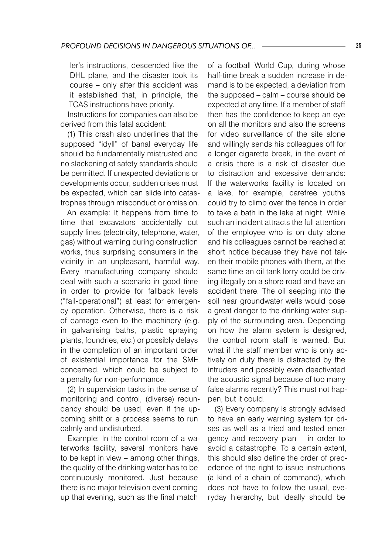ler's instructions, descended like the DHL plane, and the disaster took its course – only after this accident was it established that, in principle, the TCAS instructions have priority.

Instructions for companies can also be derived from this fatal accident:

(1) This crash also underlines that the supposed "idyll" of banal everyday life should be fundamentally mistrusted and no slackening of safety standards should be permitted. If unexpected deviations or developments occur, sudden crises must be expected, which can slide into catastrophes through misconduct or omission.

An example: It happens from time to time that excavators accidentally cut supply lines (electricity, telephone, water, gas) without warning during construction works, thus surprising consumers in the vicinity in an unpleasant, harmful way. Every manufacturing company should deal with such a scenario in good time in order to provide for fallback levels ("fail-operational") at least for emergency operation. Otherwise, there is a risk of damage even to the machinery (e.g. in galvanising baths, plastic spraying plants, foundries, etc.) or possibly delays in the completion of an important order of existential importance for the SME concerned, which could be subject to a penalty for non-performance.

(2) In supervision tasks in the sense of monitoring and control, (diverse) redundancy should be used, even if the upcoming shift or a process seems to run calmly and undisturbed.

Example: In the control room of a waterworks facility, several monitors have to be kept in view – among other things, the quality of the drinking water has to be continuously monitored. Just because there is no major television event coming up that evening, such as the final match

of a football World Cup, during whose half-time break a sudden increase in demand is to be expected, a deviation from the supposed – calm – course should be expected at any time. If a member of staff then has the confidence to keep an eye on all the monitors and also the screens for video surveillance of the site alone and willingly sends his colleagues off for a longer cigarette break, in the event of a crisis there is a risk of disaster due to distraction and excessive demands: If the waterworks facility is located on a lake, for example, carefree youths could try to climb over the fence in order to take a bath in the lake at night. While such an incident attracts the full attention of the employee who is on duty alone and his colleagues cannot be reached at short notice because they have not taken their mobile phones with them, at the same time an oil tank lorry could be driving illegally on a shore road and have an accident there. The oil seeping into the soil near groundwater wells would pose a great danger to the drinking water supply of the surrounding area. Depending on how the alarm system is designed, the control room staff is warned. But what if the staff member who is only actively on duty there is distracted by the intruders and possibly even deactivated the acoustic signal because of too many false alarms recently? This must not happen, but it could.

(3) Every company is strongly advised to have an early warning system for crises as well as a tried and tested emergency and recovery plan – in order to avoid a catastrophe. To a certain extent, this should also define the order of precedence of the right to issue instructions (a kind of a chain of command), which does not have to follow the usual, everyday hierarchy, but ideally should be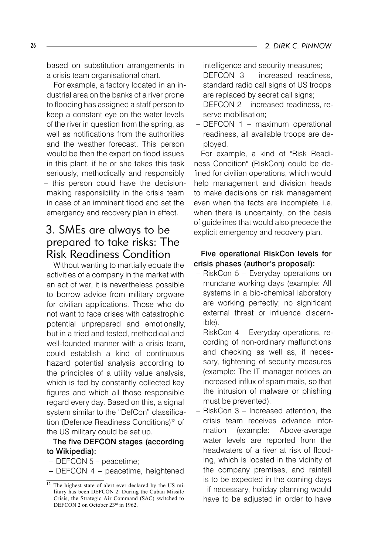based on substitution arrangements in a crisis team organisational chart.

For example, a factory located in an industrial area on the banks of a river prone to flooding has assigned a staff person to keep a constant eye on the water levels of the river in question from the spring, as well as notifications from the authorities and the weather forecast. This person would be then the expert on flood issues in this plant, if he or she takes this task seriously, methodically and responsibly – this person could have the decisionmaking responsibility in the crisis team in case of an imminent flood and set the emergency and recovery plan in effect.

# 3. SMEs are always to be prepared to take risks: The Risk Readiness Condition

Without wanting to martially equate the activities of a company in the market with an act of war, it is nevertheless possible to borrow advice from military orgware for civilian applications. Those who do not want to face crises with catastrophic potential unprepared and emotionally, but in a tried and tested, methodical and well-founded manner with a crisis team, could establish a kind of continuous hazard potential analysis according to the principles of a utility value analysis, which is fed by constantly collected key figures and which all those responsible regard every day. Based on this, a signal system similar to the "DefCon" classification (Defence Readiness Conditions)<sup>12</sup> of the US military could be set up.

## The five DEFCON stages (according to Wikipedia):

- DEFCON 5 peacetime;
- DEFCON 4 peacetime, heightened –

intelligence and security measures;

- DEFCON 3 increased readiness, standard radio call signs of US troops are replaced by secret call signs;
- DEFCON 2 increased readiness, re-– serve mobilisation;
- DEFCON 1 maximum operational readiness, all available troops are deployed.

For example, a kind of "Risk Readiness Condition" (RiskCon) could be defined for civilian operations, which would help management and division heads to make decisions on risk management even when the facts are incomplete, i.e. when there is uncertainty, on the basis of guidelines that would also precede the explicit emergency and recovery plan.

### Five operational RiskCon levels for crisis phases (author's proposal):

- RiskCon 5 Everyday operations on mundane working days (example: All systems in a bio-chemical laboratory are working perfectly; no significant external threat or influence discernible).
- RiskCon 4 Everyday operations, recording of non-ordinary malfunctions and checking as well as, if necessary, tightening of security measures (example: The IT manager notices an increased influx of spam mails, so that the intrusion of malware or phishing must be prevented). –
- RiskCon 3 Increased attention, the crisis team receives advance information (example: Above-average water levels are reported from the headwaters of a river at risk of flooding, which is located in the vicinity of the company premises, and rainfall is to be expected in the coming days – if necessary, holiday planning would have to be adjusted in order to have –

<sup>&</sup>lt;sup>12</sup> The highest state of alert ever declared by the US military has been DEFCON 2: During the Cuban Missile Crisis, the Strategic Air Command (SAC) switched to DEFCON 2 on October 23rd in 1962.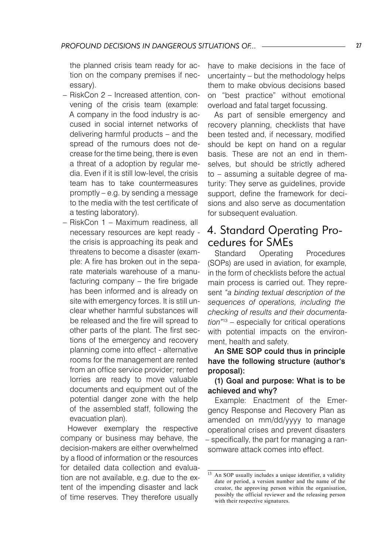the planned crisis team ready for action on the company premises if necessary).

- RiskCon 2 Increased attention, convening of the crisis team (example: A company in the food industry is accused in social internet networks of delivering harmful products – and the spread of the rumours does not decrease for the time being, there is even a threat of a adoption by regular media. Even if it is still low-level, the crisis team has to take countermeasures promptly – e.g. by sending a message to the media with the test certificate of a testing laboratory).
- RiskCon 1 Maximum readiness, all necessary resources are kept ready the crisis is approaching its peak and threatens to become a disaster (example: A fire has broken out in the separate materials warehouse of a manufacturing company – the fire brigade has been informed and is already on site with emergency forces. It is still unclear whether harmful substances will be released and the fire will spread to other parts of the plant. The first sections of the emergency and recovery planning come into effect - alternative rooms for the management are rented from an office service provider; rented lorries are ready to move valuable documents and equipment out of the potential danger zone with the help of the assembled staff, following the evacuation plan).

However exemplary the respective company or business may behave, the decision-makers are either overwhelmed by a flood of information or the resources for detailed data collection and evaluation are not available, e.g. due to the extent of the impending disaster and lack of time reserves. They therefore usually

have to make decisions in the face of uncertainty – but the methodology helps them to make obvious decisions based on "best practice" without emotional overload and fatal target focussing.

As part of sensible emergency and recovery planning, checklists that have been tested and, if necessary, modified should be kept on hand on a regular basis. These are not an end in themselves, but should be strictly adhered to – assuming a suitable degree of maturity: They serve as guidelines, provide support, define the framework for decisions and also serve as documentation for subsequent evaluation.

# 4. Standard Operating Procedures for SMEs

Standard Operating Procedures (SOPs) are used in aviation, for example, in the form of checklists before the actual main process is carried out. They represent *"a binding textual description of the sequences of operations, including the checking of results and their documentation"*<sup>13</sup> – especially for critical operations with potential impacts on the environment, health and safety.

An SME SOP could thus in principle have the following structure (author's proposal):

## (1) Goal and purpose: What is to be achieved and why?

Example: Enactment of the Emergency Response and Recovery Plan as amended on mm/dd/yyyy to manage operational crises and prevent disasters – specifically, the part for managing a ransomware attack comes into effect.

<sup>&</sup>lt;sup>13</sup> An SOP usually includes a unique identifier, a validity date or period, a version number and the name of the creator, the approving person within the organisation, possibly the official reviewer and the releasing person with their respective signatures.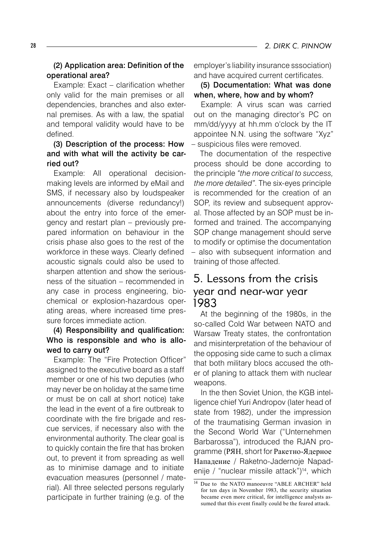## (2) Application area: Definition of the operational area?

Example: Exact – clarification whether only valid for the main premises or all dependencies, branches and also external premises. As with a law, the spatial and temporal validity would have to be defined.

## (3) Description of the process: How and with what will the activity be carried out?

Example: All operational decisionmaking levels are informed by eMail and SMS, if necessary also by loudspeaker announcements (diverse redundancy!) about the entry into force of the emergency and restart plan – previously prepared information on behaviour in the crisis phase also goes to the rest of the workforce in these ways. Clearly defined acoustic signals could also be used to sharpen attention and show the seriousness of the situation – recommended in any case in process engineering, biochemical or explosion-hazardous operating areas, where increased time pressure forces immediate action.

## (4) Responsibility and qualification: Who is responsible and who is allowed to carry out?

Example: The "Fire Protection Officer" assigned to the executive board as a staff member or one of his two deputies (who may never be on holiday at the same time or must be on call at short notice) take the lead in the event of a fire outbreak to coordinate with the fire brigade and rescue services, if necessary also with the environmental authority. The clear goal is to quickly contain the fire that has broken out, to prevent it from spreading as well as to minimise damage and to initiate evacuation measures (personnel / material). All three selected persons regularly participate in further training (e.g. of the

employer's liability insurance sssociation) and have acquired current certificates.

### (5) Documentation: What was done when, where, how and by whom?

Example: A virus scan was carried out on the managing director's PC on mm/dd/yyyy at hh.mm o'clock by the IT appointee N.N. using the software "Xyz" – suspicious files were removed.

The documentation of the respective process should be done according to the principle *"the more critical to success, the more detailed"*. The six-eyes principle is recommended for the creation of an SOP, its review and subsequent approval. Those affected by an SOP must be informed and trained. The accompanying SOP change management should serve to modify or optimise the documentation – also with subsequent information and training of those affected.

# 5. Lessons from the crisis year and near-war year 1983

At the beginning of the 1980s, in the so-called Cold War between NATO and Warsaw Treaty states, the confrontation and misinterpretation of the behaviour of the opposing side came to such a climax that both military blocs accused the other of planing to attack them with nuclear weapons.

In the then Soviet Union, the KGB intelligence chief Yuri Andropov (later head of state from 1982), under the impression of the traumatising German invasion in the Second World War ("Unternehmen Barbarossa"), introduced the RJAN programme (РЯН, short for Ракетно-Ядерное Нападение / Raketno-Jadernoje Napadenije / "nuclear missile attack")<sup>14</sup>, which

Due to the NATO manoeuvre "ABLE ARCHER" held for ten days in November 1983, the security situation became even more critical, for intelligence analysts assumed that this event finally could be the feared attack.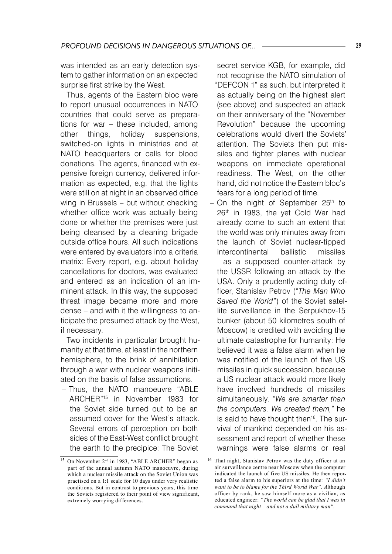was intended as an early detection system to gather information on an expected surprise first strike by the West.

Thus, agents of the Eastern bloc were to report unusual occurrences in NATO countries that could serve as preparations for war – these included, among other things, holiday suspensions, switched-on lights in ministries and at NATO headquarters or calls for blood donations. The agents, financed with expensive foreign currency, delivered information as expected, e.g. that the lights were still on at night in an observed office wing in Brussels – but without checking whether office work was actually being done or whether the premises were just being cleansed by a cleaning brigade outside office hours. All such indications were entered by evaluators into a criteria matrix: Every report, e.g. about holiday cancellations for doctors, was evaluated and entered as an indication of an imminent attack. In this way, the supposed threat image became more and more dense – and with it the willingness to anticipate the presumed attack by the West, if necessary.

Two incidents in particular brought humanity at that time, at least in the northern hemisphere, to the brink of annihilation through a war with nuclear weapons initiated on the basis of false assumptions.

– Thus, the NATO manoeuvre "ABLE ARCHER"15 in November 1983 for the Soviet side turned out to be an assumed cover for the West's attack. Several errors of perception on both sides of the East-West conflict brought the earth to the precipice: The Soviet

secret service KGB, for example, did not recognise the NATO simulation of "DEFCON 1" as such, but interpreted it as actually being on the highest alert (see above) and suspected an attack on their anniversary of the "November Revolution" because the upcoming celebrations would divert the Soviets' attention. The Soviets then put missiles and fighter planes with nuclear weapons on immediate operational readiness. The West, on the other hand, did not notice the Eastern bloc's fears for a long period of time.

– On the night of September 25<sup>th</sup> to 26<sup>th</sup> in 1983, the yet Cold War had already come to such an extent that the world was only minutes away from the launch of Soviet nuclear-tipped intercontinental ballistic missiles – as a supposed counter-attack by the USSR following an attack by the USA. Only a prudently acting duty officer, Stanislav Petrov (*"The Man Who Saved the World"*) of the Soviet satellite surveillance in the Serpukhov-15 bunker (about 50 kilometres south of Moscow) is credited with avoiding the ultimate catastrophe for humanity: He believed it was a false alarm when he was notified of the launch of five US missiles in quick succession, because a US nuclear attack would more likely have involved hundreds of missiles simultaneously. *"We are smarter than the computers. We created them,"* he is said to have thought then<sup>16</sup>. The survival of mankind depended on his assessment and report of whether these warnings were false alarms or real

<sup>15</sup> On November 2<sup>nd</sup> in 1983, "ABLE ARCHER" began as part of the annual autumn NATO manoeuvre, during which a nuclear missile attack on the Soviet Union was practised on a 1:1 scale for 10 days under very realistic conditions. But in contrast to previous years, this time the Soviets registered to their point of view significant, extremely worrying differences.

<sup>&</sup>lt;sup>16</sup> That night, Stanislav Petrov was the duty officer at an air surveillance centre near Moscow when the computer indicated the launch of five US missiles. He then reported a false alarm to his superiors at the time: *"I didn't want to be to blame for the Third World War". A*lthough officer by rank, he saw himself more as a civilian, as educated engineer: *"The world can be glad that I was in command that night – and not a dull military man"*.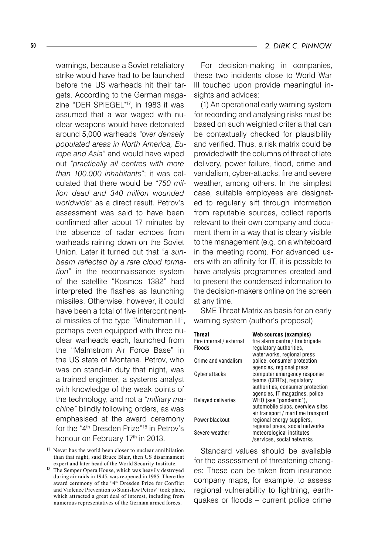warnings, because a Soviet retaliatory strike would have had to be launched before the US warheads hit their targets. According to the German magazine "DER SPIEGEL"17 , in 1983 it was assumed that a war waged with nuclear weapons would have detonated around 5,000 warheads *"over densely populated areas in North America, Europe and Asia"* and would have wiped out *"practically all centres with more than 100,000 inhabitants"*; it was calculated that there would be *"750 million dead and 340 million wounded worldwide"* as a direct result. Petrov's assessment was said to have been confirmed after about 17 minutes by the absence of radar echoes from warheads raining down on the Soviet Union. Later it turned out that *"a sunbeam reflected by a rare cloud formation"* in the reconnaissance system of the satellite "Kosmos 1382" had interpreted the flashes as launching missiles. Otherwise, however, it could have been a total of five intercontinental missiles of the type "Minuteman III", perhaps even equipped with three nuclear warheads each, launched from the "Malmstrom Air Force Base" in the US state of Montana. Petrov, who was on stand-in duty that night, was a trained engineer, a systems analyst with knowledge of the weak points of the technology, and not a *"military machine"* blindly following orders, as was emphasised at the award ceremony for the "4<sup>th</sup> Dresden Prize"<sup>18</sup> in Petrov's honour on February 17<sup>th</sup> in 2013.

For decision-making in companies, these two incidents close to World War III touched upon provide meaningful insights and advices:

(1) An operational early warning system for recording and analysing risks must be based on such weighted criteria that can be contextually checked for plausibility and verified. Thus, a risk matrix could be provided with the columns of threat of late delivery, power failure, flood, crime and vandalism, cyber-attacks, fire and severe weather, among others. In the simplest case, suitable employees are designated to regularly sift through information from reputable sources, collect reports relevant to their own company and document them in a way that is clearly visible to the management (e.g. on a whiteboard in the meeting room). For advanced users with an affinity for IT, it is possible to have analysis programmes created and to present the condensed information to the decision-makers online on the screen at any time.

SME Threat Matrix as basis for an early warning system (author's proposal)

| <b>Threat</b><br>Fire internal / external<br>Floods | Web sources (examples)<br>fire alarm centre / fire brigade<br>regulatory authorities,                                             |
|-----------------------------------------------------|-----------------------------------------------------------------------------------------------------------------------------------|
| Crime and vandalism                                 | waterworks, regional press<br>police, consumer protection<br>agencies, regional press                                             |
| Cyber attacks                                       | computer emergency response<br>teams (CERTs), regulatory<br>authorities, consumer protection                                      |
| Delayed deliveries                                  | agencies, IT magazines, police<br>WHO (see "pandemic"),<br>automobile clubs, overview sites<br>air transport / maritime transport |
| Power blackout                                      | regional energy suppliers,                                                                                                        |
| Severe weather                                      | regional press, social networks<br>meteorological institutes<br>/services, social networks                                        |

Standard values should be available for the assessment of threatening changes: These can be taken from insurance company maps, for example, to assess regional vulnerability to lightning, earthquakes or floods – current police crime

<sup>&</sup>lt;sup>17</sup> Never has the world been closer to nuclear annihilation than that night, said Bruce Blair, then US disarmament expert and later head of the World Security Institute.

<sup>&</sup>lt;sup>18</sup> The Semper Opera House, which was heavily destroyed during air raids in 1945, was reopened in 1985: There the award ceremony of the "4<sup>th</sup> Dresden Prize for Conflict and Violence Prevention to Stanislaw Petrov" took place, which attracted a great deal of interest, including from numerous representatives of the German armed forces.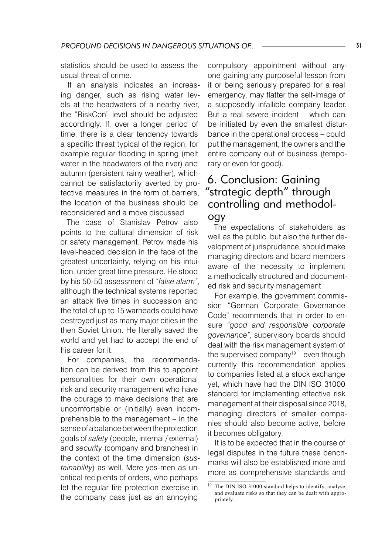statistics should be used to assess the usual threat of crime.

If an analysis indicates an increasing danger, such as rising water levels at the headwaters of a nearby river, the "RiskCon" level should be adjusted accordingly. If, over a longer period of time, there is a clear tendency towards a specific threat typical of the region, for example regular flooding in spring (melt water in the headwaters of the river) and autumn (persistent rainy weather), which cannot be satisfactorily averted by protective measures in the form of barriers, the location of the business should be reconsidered and a move discussed.

The case of Stanislav Petrov also points to the cultural dimension of risk or safety management. Petrov made his level-headed decision in the face of the greatest uncertainty, relying on his intuition, under great time pressure. He stood by his 50-50 assessment of *"false alarm"*, although the technical systems reported an attack five times in succession and the total of up to 15 warheads could have destroyed just as many major cities in the then Soviet Union. He literally saved the world and yet had to accept the end of his career for it.

For companies, the recommendation can be derived from this to appoint personalities for their own operational risk and security management who have the courage to make decisions that are uncomfortable or (initially) even incomprehensible to the management – in the sense of a balance between the protection goals of *safety* (people, internal / external) and *security* (company and branches) in the context of the time dimension (*sustainability*) as well. Mere yes-men as uncritical recipients of orders, who perhaps let the regular fire protection exercise in the company pass just as an annoying

compulsory appointment without anyone gaining any purposeful lesson from it or being seriously prepared for a real emergency, may flatter the self-image of a supposedly infallible company leader. But a real severe incident – which can be initiated by even the smallest disturbance in the operational process – could put the management, the owners and the entire company out of business (temporary or even for good).

# 6. Conclusion: Gaining "strategic depth" through controlling and methodol-

#### ogy

The expectations of stakeholders as well as the public, but also the further development of jurisprudence, should make managing directors and board members aware of the necessity to implement a methodically structured and documented risk and security management.

For example, the government commission "German Corporate Governance Code" recommends that in order to ensure *"good and responsible corporate governance"*, supervisory boards should deal with the risk management system of the supervised company<sup>19</sup> – even though currently this recommendation applies to companies listed at a stock exchange yet, which have had the DIN ISO 31000 standard for implementing effective risk management at their disposal since 2018, managing directors of smaller companies should also become active, before it becomes obligatory.

It is to be expected that in the course of legal disputes in the future these benchmarks will also be established more and more as comprehensive standards and

<sup>&</sup>lt;sup>19</sup> The DIN ISO 31000 standard helps to identify, analyse and evaluate risks so that they can be dealt with appropriately.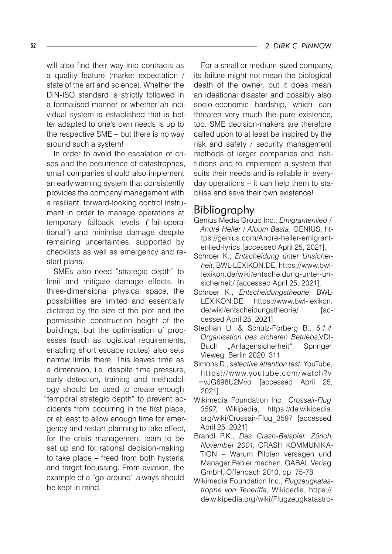will also find their way into contracts as a quality feature (market expectation / state of the art and science). Whether the DIN-ISO standard is strictly followed in a formalised manner or whether an individual system is established that is better adapted to one's own needs is up to the respective SME – but there is no way around such a system!

In order to avoid the escalation of crises and the occurrence of catastrophes, small companies should also implement an early warning system that consistently provides the company management with a resilient, forward-looking control instrument in order to manage operations at temporary fallback levels ("fail-operational") and minimise damage despite remaining uncertainties, supported by checklists as well as emergency and restart plans.

SMEs also need "strategic depth" to limit and mitigate damage effects. In three-dimensional physical space, the possibilities are limited and essentially dictated by the size of the plot and the permissible construction height of the buildings, but the optimisation of processes (such as logistical requirements, enabling short escape routes) also sets narrow limits there. This leaves time as a dimension, i.e. despite time pressure, early detection, training and methodology should be used to create enough "temporal strategic depth" to prevent accidents from occurring in the first place, or at least to allow enough time for emergency and restart planning to take effect, for the crisis management team to be set up and for rational decision-making to take place – freed from both hysteria and target focussing. From aviation, the example of a "go-around" always should be kept in mind.

For a small or medium-sized company, its failure might not mean the biological death of the owner, but it does mean an ideational disaster and possibly also socio-economic hardship, which can threaten very much the pure existence, too. SME decision-makers are therefore called upon to at least be inspired by the risk and safety / security management methods of larger companies and institutions and to implement a system that suits their needs and is reliable in everyday operations – it can help them to stabilise and save their own existence!

# Bibliography

- Genius Media Group Inc., *Emigrantenlied / André Heller / Album Basta*, GENIUS, https://genius.com/Andre-heller-emigrantenlied-lyrics [accessed April 25, 2021].
- Schroer K., *Entscheidung unter Unsicherheit*, BWL-LEXIKON.DE, https://www.bwllexikon.de/wiki/entscheidung-unter-unsicherheit/ [accessed April 25, 2021].
- Schroer K., *Entscheidungstheorie*, BWL-LEXIKON.DE, https://www.bwl-lexikon. de/wiki/entscheidungstheorie/ [accessed April 25, 2021].
- Stephan U. & Schulz-Forberg B., *5.1.4 Organisation des sicheren Betriebs*,VDI-Buch "Anlagensicherheit", Springer Vieweg, Berlin 2020, 311
- Simons D., *selective attention test*, YouTube, https://www.youtube.com/watch?v =vJG698U2Mvo [accessed April 25, 2021].
- Wikimedia Foundation Inc., *Crossair-Flug 3597*, Wikipedia, https://de.wikipedia. org/wiki/Crossair-Flug\_3597 [accessed April 25, 2021].
- Brandl P.K., *Das Crash-Beispiel: Zürich, November 2001*, CRASH KOMMUNIKA-TION – Warum Piloten versagen und Manager Fehler machen, GABAL Verlag GmbH, Offenbach 2010, pp. 75-78
- Wikimedia Foundation Inc., *Flugzeugkatastrophe von Teneriffa*, Wikipedia, https:// de.wikipedia.org/wiki/Flugzeugkatastro-